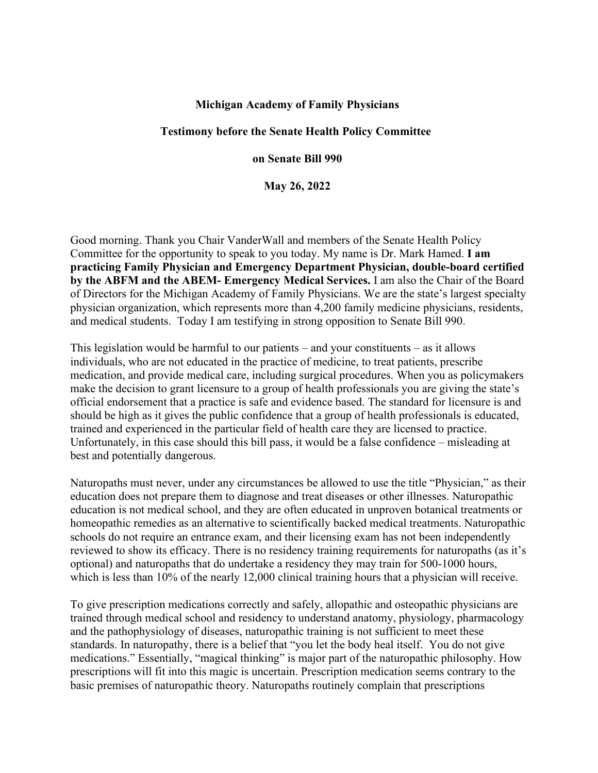## **Michigan Academy of Family Physicians**

## **Testimony before the Senate Health Policy Committee**

## **on Senate Bill 990**

**May 26, 2022**

Good morning. Thank you Chair VanderWall and members of the Senate Health Policy Committee for the opportunity to speak to you today. My name is Dr. Mark Hamed. **I am practicing Family Physician and Emergency Department Physician, double-board certified by the ABFM and the ABEM- Emergency Medical Services.** I am also the Chair of the Board of Directors for the Michigan Academy of Family Physicians. We are the state's largest specialty physician organization, which represents more than 4,200 family medicine physicians, residents, and medical students. Today I am testifying in strong opposition to Senate Bill 990.

This legislation would be harmful to our patients – and your constituents – as it allows individuals, who are not educated in the practice of medicine, to treat patients, prescribe medication, and provide medical care, including surgical procedures. When you as policymakers make the decision to grant licensure to a group of health professionals you are giving the state's official endorsement that a practice is safe and evidence based. The standard for licensure is and should be high as it gives the public confidence that a group of health professionals is educated, trained and experienced in the particular field of health care they are licensed to practice. Unfortunately, in this case should this bill pass, it would be a false confidence – misleading at best and potentially dangerous.

Naturopaths must never, under any circumstances be allowed to use the title "Physician," as their education does not prepare them to diagnose and treat diseases or other illnesses. Naturopathic education is not medical school, and they are often educated in unproven botanical treatments or homeopathic remedies as an alternative to scientifically backed medical treatments. Naturopathic schools do not require an entrance exam, and their licensing exam has not been independently reviewed to show its efficacy. There is no residency training requirements for naturopaths (as it's optional) and naturopaths that do undertake a residency they may train for 500-1000 hours, which is less than 10% of the nearly 12,000 clinical training hours that a physician will receive.

To give prescription medications correctly and safely, allopathic and osteopathic physicians are trained through medical school and residency to understand anatomy, physiology, pharmacology and the pathophysiology of diseases, naturopathic training is not sufficient to meet these standards. In naturopathy, there is a belief that "you let the body heal itself. You do not give medications." Essentially, "magical thinking" is major part of the naturopathic philosophy. How prescriptions will fit into this magic is uncertain. Prescription medication seems contrary to the basic premises of naturopathic theory. Naturopaths routinely complain that prescriptions